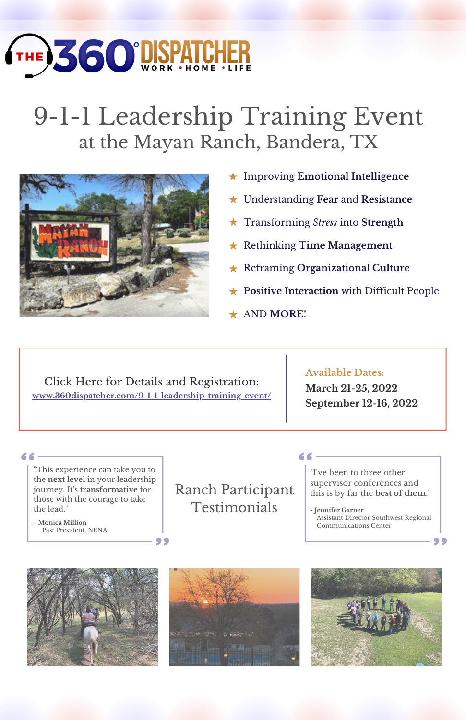## **THE 360 DISP!**

## 9-1-1 Leadership Training Event at the Mayan Ranch, Bandera, TX



- Improving **Emotional Intelligence**
- Understanding **Fear** and **Resistance**
- Transforming *Stress* into **Strength**
- Rethinking **Time Management**

66-

- Reframing **Organizational Culture**
- **Positive Interaction** with Difficult People
- AND **MORE**!

Click Here for Details and Registration: **[www.360dispatcher.com/9-1-1-leadership-training-event/](https://360dispatcher.com/9-1-1-leadership-training-event/)**

99

## **Available Dates:**

**March 21-25, 2022 September 12-16, 2022**

"This experience can take you to the **next level** in your leadership journey. It's **transformative** for those with the courage to take the lead."

- **Monica Million** Past President, NENA

66-

Ranch Participant **Testimonials** 

"I've been to three other supervisor conferences and this is by far the **best of them**."

- **Jennifer Garner** Assistant Director Southwest Regional Communications Center

99